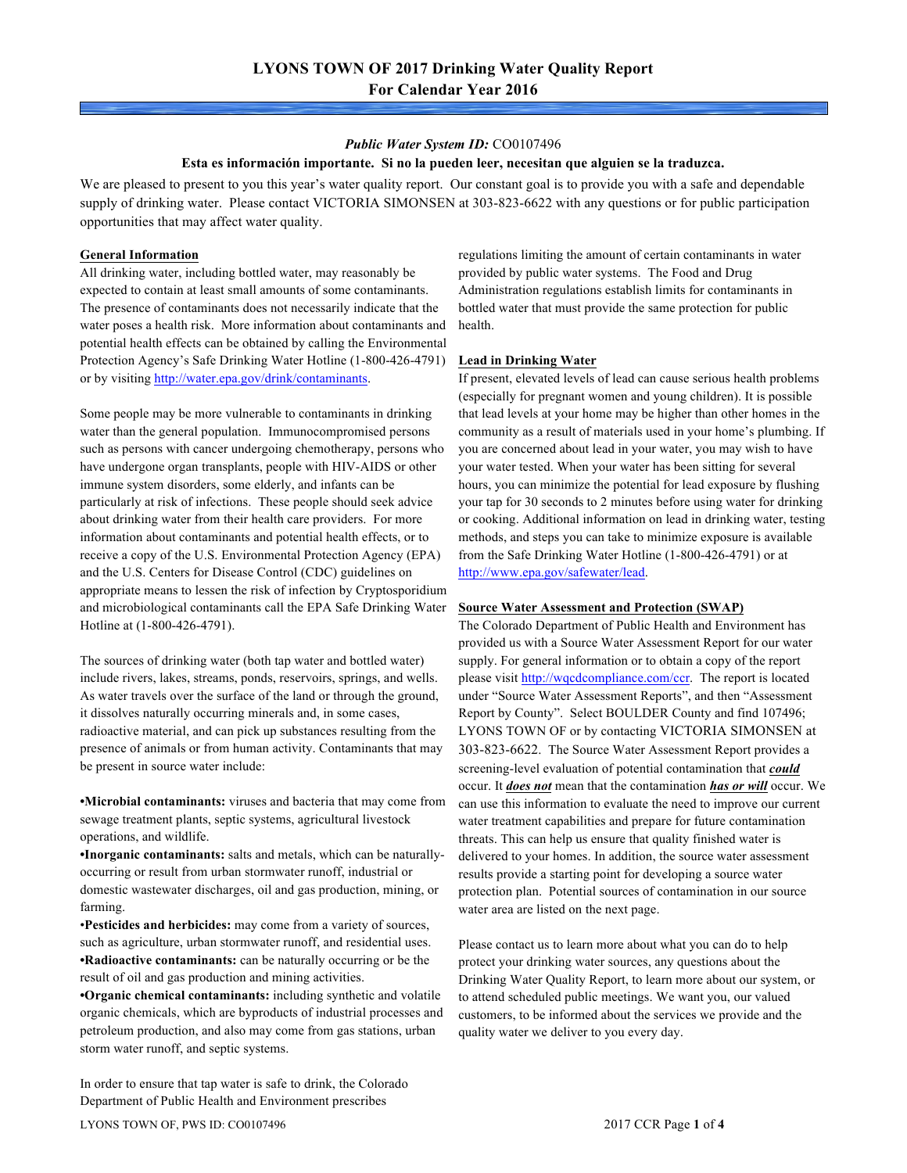#### *Public Water System ID:* CO0107496

#### **Esta es información importante. Si no la pueden leer, necesitan que alguien se la traduzca.**

We are pleased to present to you this year's water quality report. Our constant goal is to provide you with a safe and dependable supply of drinking water. Please contact VICTORIA SIMONSEN at 303-823-6622 with any questions or for public participation opportunities that may affect water quality.

#### **General Information**

All drinking water, including bottled water, may reasonably be expected to contain at least small amounts of some contaminants. The presence of contaminants does not necessarily indicate that the water poses a health risk. More information about contaminants and potential health effects can be obtained by calling the Environmental Protection Agency's Safe Drinking Water Hotline (1-800-426-4791) or by visiting http://water.epa.gov/drink/contaminants.

Some people may be more vulnerable to contaminants in drinking water than the general population. Immunocompromised persons such as persons with cancer undergoing chemotherapy, persons who have undergone organ transplants, people with HIV-AIDS or other immune system disorders, some elderly, and infants can be particularly at risk of infections. These people should seek advice about drinking water from their health care providers. For more information about contaminants and potential health effects, or to receive a copy of the U.S. Environmental Protection Agency (EPA) and the U.S. Centers for Disease Control (CDC) guidelines on appropriate means to lessen the risk of infection by Cryptosporidium and microbiological contaminants call the EPA Safe Drinking Water Hotline at (1-800-426-4791).

The sources of drinking water (both tap water and bottled water) include rivers, lakes, streams, ponds, reservoirs, springs, and wells. As water travels over the surface of the land or through the ground, it dissolves naturally occurring minerals and, in some cases, radioactive material, and can pick up substances resulting from the presence of animals or from human activity. Contaminants that may be present in source water include:

**•Microbial contaminants:** viruses and bacteria that may come from sewage treatment plants, septic systems, agricultural livestock operations, and wildlife.

**•Inorganic contaminants:** salts and metals, which can be naturallyoccurring or result from urban stormwater runoff, industrial or domestic wastewater discharges, oil and gas production, mining, or farming.

•**Pesticides and herbicides:** may come from a variety of sources, such as agriculture, urban stormwater runoff, and residential uses. **•Radioactive contaminants:** can be naturally occurring or be the result of oil and gas production and mining activities.

**•Organic chemical contaminants:** including synthetic and volatile organic chemicals, which are byproducts of industrial processes and petroleum production, and also may come from gas stations, urban storm water runoff, and septic systems.

In order to ensure that tap water is safe to drink, the Colorado Department of Public Health and Environment prescribes

regulations limiting the amount of certain contaminants in water provided by public water systems. The Food and Drug Administration regulations establish limits for contaminants in bottled water that must provide the same protection for public health.

## **Lead in Drinking Water**

If present, elevated levels of lead can cause serious health problems (especially for pregnant women and young children). It is possible that lead levels at your home may be higher than other homes in the community as a result of materials used in your home's plumbing. If you are concerned about lead in your water, you may wish to have your water tested. When your water has been sitting for several hours, you can minimize the potential for lead exposure by flushing your tap for 30 seconds to 2 minutes before using water for drinking or cooking. Additional information on lead in drinking water, testing methods, and steps you can take to minimize exposure is available from the Safe Drinking Water Hotline (1-800-426-4791) or at http://www.epa.gov/safewater/lead.

#### **Source Water Assessment and Protection (SWAP)**

The Colorado Department of Public Health and Environment has provided us with a Source Water Assessment Report for our water supply. For general information or to obtain a copy of the report please visit http://wqcdcompliance.com/ccr. The report is located under "Source Water Assessment Reports", and then "Assessment Report by County". Select BOULDER County and find 107496; LYONS TOWN OF or by contacting VICTORIA SIMONSEN at 303-823-6622. The Source Water Assessment Report provides a screening-level evaluation of potential contamination that *could* occur. It *does not* mean that the contamination *has or will* occur. We can use this information to evaluate the need to improve our current water treatment capabilities and prepare for future contamination threats. This can help us ensure that quality finished water is delivered to your homes. In addition, the source water assessment results provide a starting point for developing a source water protection plan. Potential sources of contamination in our source water area are listed on the next page.

Please contact us to learn more about what you can do to help protect your drinking water sources, any questions about the Drinking Water Quality Report, to learn more about our system, or to attend scheduled public meetings. We want you, our valued customers, to be informed about the services we provide and the quality water we deliver to you every day.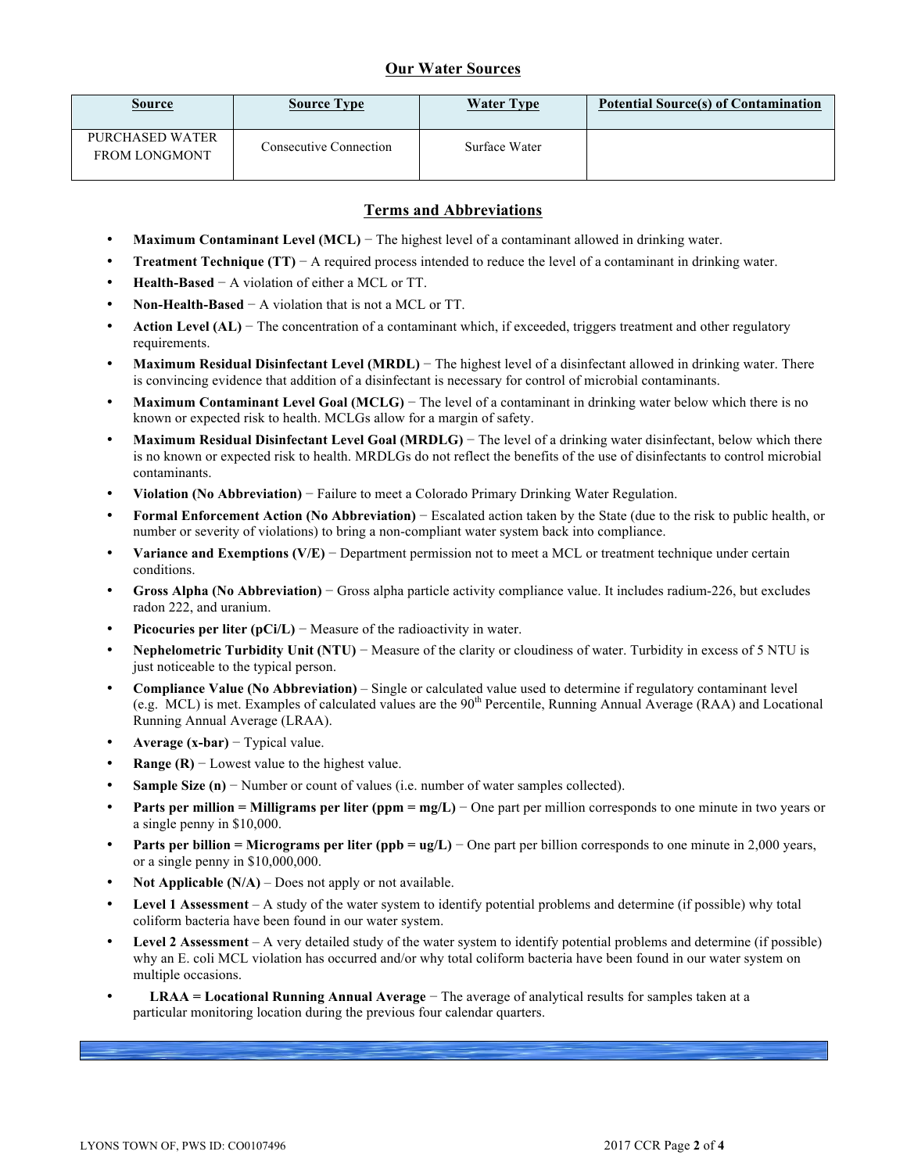## **Our Water Sources**

| <b>Source</b>                           | <b>Source Type</b>            | <b>Water Type</b> | <b>Potential Source(s) of Contamination</b> |
|-----------------------------------------|-------------------------------|-------------------|---------------------------------------------|
| PURCHASED WATER<br><b>FROM LONGMONT</b> | <b>Consecutive Connection</b> | Surface Water     |                                             |

## **Terms and Abbreviations**

- **Maximum Contaminant Level (MCL)** − The highest level of a contaminant allowed in drinking water.
- **Treatment Technique (TT)** − A required process intended to reduce the level of a contaminant in drinking water.
- **Health-Based** − A violation of either a MCL or TT.
- **Non-Health-Based** − A violation that is not a MCL or TT.
- **Action Level (AL)** − The concentration of a contaminant which, if exceeded, triggers treatment and other regulatory requirements.
- **Maximum Residual Disinfectant Level (MRDL)** − The highest level of a disinfectant allowed in drinking water. There is convincing evidence that addition of a disinfectant is necessary for control of microbial contaminants.
- **Maximum Contaminant Level Goal (MCLG)** − The level of a contaminant in drinking water below which there is no known or expected risk to health. MCLGs allow for a margin of safety.
- **Maximum Residual Disinfectant Level Goal (MRDLG)** − The level of a drinking water disinfectant, below which there is no known or expected risk to health. MRDLGs do not reflect the benefits of the use of disinfectants to control microbial contaminants.
- **Violation (No Abbreviation)** − Failure to meet a Colorado Primary Drinking Water Regulation.
- **Formal Enforcement Action (No Abbreviation)** − Escalated action taken by the State (due to the risk to public health, or number or severity of violations) to bring a non-compliant water system back into compliance.
- **Variance and Exemptions (V/E)** − Department permission not to meet a MCL or treatment technique under certain conditions.
- **Gross Alpha (No Abbreviation)** − Gross alpha particle activity compliance value. It includes radium-226, but excludes radon 222, and uranium.
- **Picocuries per liter (pCi/L)** − Measure of the radioactivity in water.
- **Nephelometric Turbidity Unit (NTU)** − Measure of the clarity or cloudiness of water. Turbidity in excess of 5 NTU is just noticeable to the typical person.
- **Compliance Value (No Abbreviation)** Single or calculated value used to determine if regulatory contaminant level (e.g. MCL) is met. Examples of calculated values are the  $90<sup>th</sup>$  Percentile, Running Annual Average (RAA) and Locational Running Annual Average (LRAA).
- **Average (x-bar)** − Typical value.
- **Range (R)**  $-$  Lowest value to the highest value.
- **Sample Size (n)** − Number or count of values (i.e. number of water samples collected).
- **Parts per million = Milligrams per liter (ppm = mg/L)** − One part per million corresponds to one minute in two years or a single penny in \$10,000.
- **Parts per billion = Micrograms per liter (ppb = ug/L)** − One part per billion corresponds to one minute in 2,000 years, or a single penny in \$10,000,000.
- **Not Applicable (N/A)** Does not apply or not available.
- **Level 1 Assessment** A study of the water system to identify potential problems and determine (if possible) why total coliform bacteria have been found in our water system.
- **Level 2 Assessment** A very detailed study of the water system to identify potential problems and determine (if possible) why an E. coli MCL violation has occurred and/or why total coliform bacteria have been found in our water system on multiple occasions.
- **LRAA = Locational Running Annual Average** − The average of analytical results for samples taken at a particular monitoring location during the previous four calendar quarters.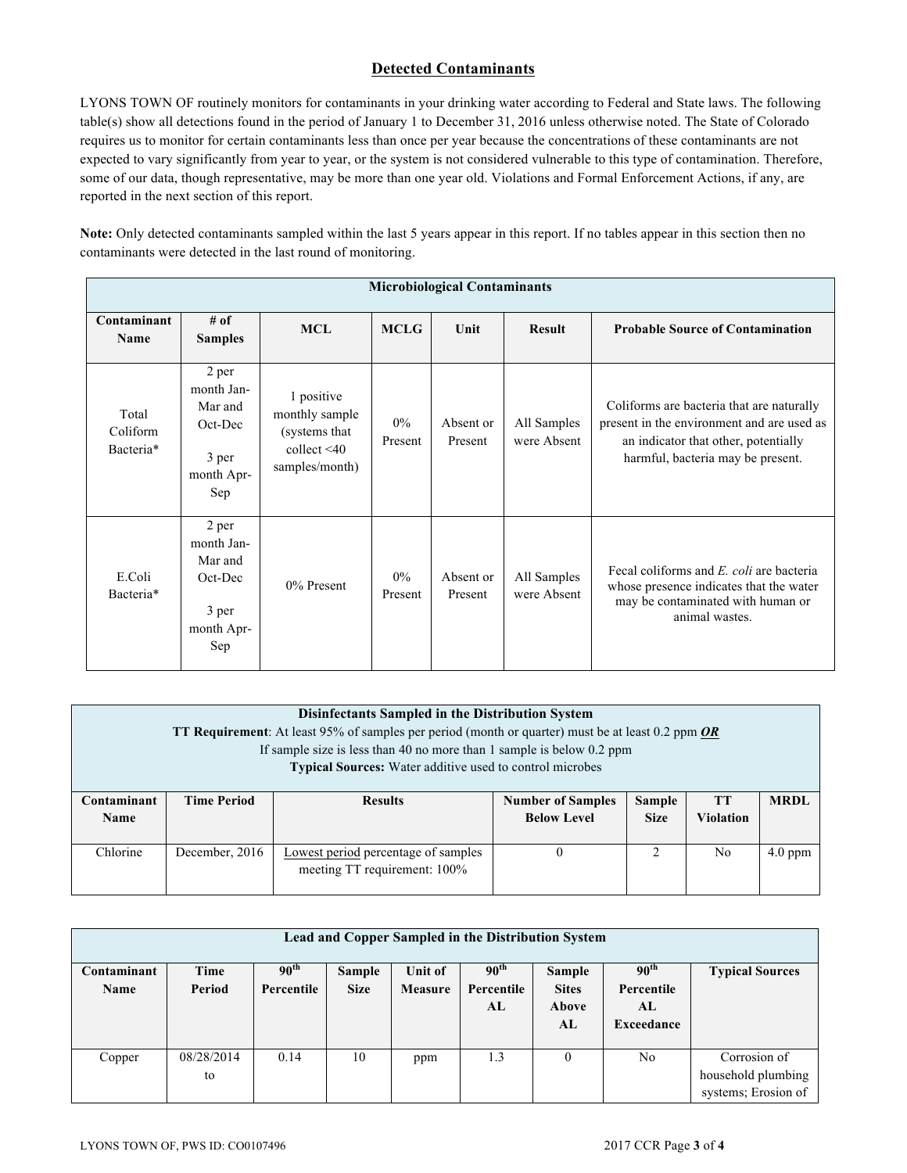# **Detected Contaminants**

LYONS TOWN OF routinely monitors for contaminants in your drinking water according to Federal and State laws. The following table(s) show all detections found in the period of January 1 to December 31, 2016 unless otherwise noted. The State of Colorado requires us to monitor for certain contaminants less than once per year because the concentrations of these contaminants are not expected to vary significantly from year to year, or the system is not considered vulnerable to this type of contamination. Therefore, some of our data, though representative, may be more than one year old. Violations and Formal Enforcement Actions, if any, are reported in the next section of this report.

**Note:** Only detected contaminants sampled within the last 5 years appear in this report. If no tables appear in this section then no contaminants were detected in the last round of monitoring.

| <b>Microbiological Contaminants</b> |                                                                         |                                                                                       |                  |                      |                            |                                                                                                                                                                      |  |  |  |
|-------------------------------------|-------------------------------------------------------------------------|---------------------------------------------------------------------------------------|------------------|----------------------|----------------------------|----------------------------------------------------------------------------------------------------------------------------------------------------------------------|--|--|--|
| Contaminant<br><b>Name</b>          | # of<br><b>Samples</b>                                                  | <b>MCL</b>                                                                            | <b>MCLG</b>      | Unit                 | <b>Result</b>              | <b>Probable Source of Contamination</b>                                                                                                                              |  |  |  |
| Total<br>Coliform<br>Bacteria*      | 2 per<br>month Jan-<br>Mar and<br>Oct-Dec<br>3 per<br>month Apr-<br>Sep | 1 positive<br>monthly sample<br>(systems that)<br>collect $\leq 40$<br>samples/month) | $0\%$<br>Present | Absent or<br>Present | All Samples<br>were Absent | Coliforms are bacteria that are naturally<br>present in the environment and are used as<br>an indicator that other, potentially<br>harmful, bacteria may be present. |  |  |  |
| E.Coli<br>Bacteria*                 | 2 per<br>month Jan-<br>Mar and<br>Oct-Dec<br>3 per<br>month Apr-<br>Sep | $0\%$ Present                                                                         | 0%<br>Present    | Absent or<br>Present | All Samples<br>were Absent | Fecal coliforms and E. coli are bacteria<br>whose presence indicates that the water<br>may be contaminated with human or<br>animal wastes.                           |  |  |  |

| Disinfectants Sampled in the Distribution System<br><b>TT Requirement:</b> At least 95% of samples per period (month or quarter) must be at least 0.2 ppm $OR$<br>If sample size is less than 40 no more than 1 sample is below 0.2 ppm<br><b>Typical Sources:</b> Water additive used to control microbes |                    |                                                                                                                                           |  |   |     |           |  |  |  |  |
|------------------------------------------------------------------------------------------------------------------------------------------------------------------------------------------------------------------------------------------------------------------------------------------------------------|--------------------|-------------------------------------------------------------------------------------------------------------------------------------------|--|---|-----|-----------|--|--|--|--|
| Contaminant<br><b>Name</b>                                                                                                                                                                                                                                                                                 | <b>Time Period</b> | <b>MRDL</b><br><b>Number of Samples</b><br><b>Sample</b><br>TТ<br><b>Results</b><br><b>Size</b><br><b>Violation</b><br><b>Below Level</b> |  |   |     |           |  |  |  |  |
| Chlorine                                                                                                                                                                                                                                                                                                   | December, 2016     | Lowest period percentage of samples<br>meeting TT requirement: 100%                                                                       |  | 2 | No. | $4.0$ ppm |  |  |  |  |

| Lead and Copper Sampled in the Distribution System |            |                  |             |         |                  |              |                  |                        |
|----------------------------------------------------|------------|------------------|-------------|---------|------------------|--------------|------------------|------------------------|
| Contaminant                                        | Time       | 90 <sup>th</sup> | Sample      | Unit of | 90 <sup>th</sup> | Sample       | 90 <sup>th</sup> | <b>Typical Sources</b> |
| <b>Name</b>                                        | Period     | Percentile       | <b>Size</b> | Measure | Percentile       | <b>Sites</b> | Percentile       |                        |
|                                                    |            |                  |             |         | AL               | Above        | AL               |                        |
|                                                    |            |                  |             |         |                  | AL           | Exceedance       |                        |
|                                                    |            |                  |             |         |                  |              |                  |                        |
| Copper                                             | 08/28/2014 | 0.14             | 10          | ppm     | 1.3              | $\theta$     | No               | Corrosion of           |
|                                                    | to         |                  |             |         |                  |              |                  | household plumbing     |
|                                                    |            |                  |             |         |                  |              |                  | systems; Erosion of    |